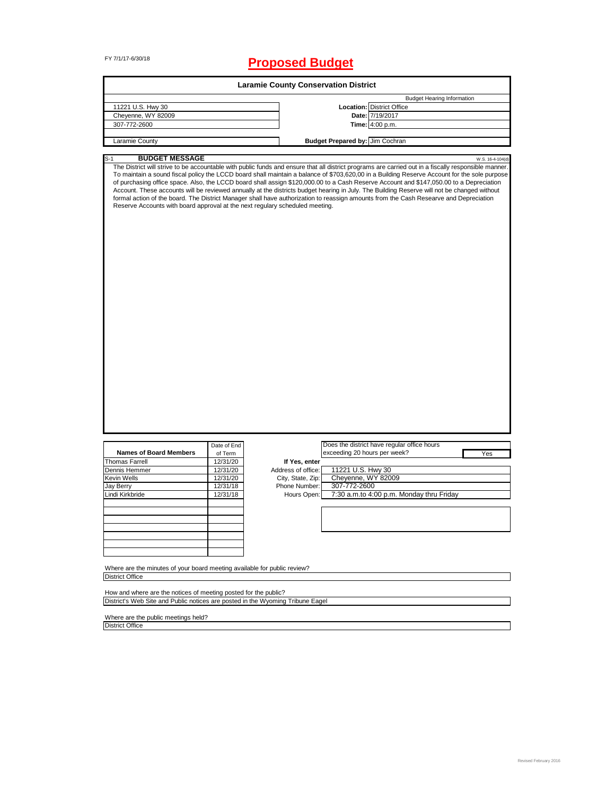# FY 7/1/17-6/30/18 **Proposed Budget**

|                                                                                                                                                                                                                                                                                                                                                                                                                                                                                                                                                                                                                                                                 |             | <b>Laramie County Conservation District</b> |                                 |                                             |                  |
|-----------------------------------------------------------------------------------------------------------------------------------------------------------------------------------------------------------------------------------------------------------------------------------------------------------------------------------------------------------------------------------------------------------------------------------------------------------------------------------------------------------------------------------------------------------------------------------------------------------------------------------------------------------------|-------------|---------------------------------------------|---------------------------------|---------------------------------------------|------------------|
|                                                                                                                                                                                                                                                                                                                                                                                                                                                                                                                                                                                                                                                                 |             |                                             |                                 | <b>Budget Hearing Information</b>           |                  |
| 11221 U.S. Hwy 30                                                                                                                                                                                                                                                                                                                                                                                                                                                                                                                                                                                                                                               |             |                                             |                                 | <b>Location: District Office</b>            |                  |
| Cheyenne, WY 82009                                                                                                                                                                                                                                                                                                                                                                                                                                                                                                                                                                                                                                              |             |                                             |                                 | Date: 7/19/2017                             |                  |
| 307-772-2600                                                                                                                                                                                                                                                                                                                                                                                                                                                                                                                                                                                                                                                    |             |                                             |                                 | Time: 4:00 p.m.                             |                  |
|                                                                                                                                                                                                                                                                                                                                                                                                                                                                                                                                                                                                                                                                 |             |                                             |                                 |                                             |                  |
| Laramie County                                                                                                                                                                                                                                                                                                                                                                                                                                                                                                                                                                                                                                                  |             |                                             | Budget Prepared by: Jim Cochran |                                             |                  |
| <b>BUDGET MESSAGE</b><br>$S-1$                                                                                                                                                                                                                                                                                                                                                                                                                                                                                                                                                                                                                                  |             |                                             |                                 |                                             | W.S. 16-4-104(d) |
| To maintain a sound fiscal policy the LCCD board shall maintain a balance of \$703,620,00 in a Building Reserve Account for the sole purpose<br>of purchasing office space. Also, the LCCD board shall assign \$120,000.00 to a Cash Reserve Account and \$147,050.00 to a Depreciation<br>Account. These accounts will be reviewed annually at the districts budget hearing in July. The Building Reserve will not be changed without<br>formal action of the board. The District Manager shall have authorization to reassign amounts from the Cash Researve and Depreciation<br>Reserve Accounts with board approval at the next regulary scheduled meeting. |             |                                             |                                 |                                             |                  |
|                                                                                                                                                                                                                                                                                                                                                                                                                                                                                                                                                                                                                                                                 | Date of End |                                             |                                 | Does the district have regular office hours |                  |
| <b>Names of Board Members</b>                                                                                                                                                                                                                                                                                                                                                                                                                                                                                                                                                                                                                                   | of Term     |                                             | exceeding 20 hours per week?    |                                             | Yes              |
| <b>Thomas Farrell</b>                                                                                                                                                                                                                                                                                                                                                                                                                                                                                                                                                                                                                                           | 12/31/20    | If Yes, enter                               |                                 |                                             |                  |
| Dennis Hemmer                                                                                                                                                                                                                                                                                                                                                                                                                                                                                                                                                                                                                                                   | 12/31/20    | Address of office:                          | 11221 U.S. Hwy 30               |                                             |                  |
| Kevin Wells                                                                                                                                                                                                                                                                                                                                                                                                                                                                                                                                                                                                                                                     | 12/31/20    | City, State, Zip:                           | Cheyenne, WY 82009              |                                             |                  |
| <b>Jay Berry</b>                                                                                                                                                                                                                                                                                                                                                                                                                                                                                                                                                                                                                                                | 12/31/18    | Phone Number:                               | 307-772-2600                    |                                             |                  |
| Lindi Kirkbride                                                                                                                                                                                                                                                                                                                                                                                                                                                                                                                                                                                                                                                 | 12/31/18    | Hours Open:                                 |                                 | 7:30 a.m.to 4:00 p.m. Monday thru Friday    |                  |
|                                                                                                                                                                                                                                                                                                                                                                                                                                                                                                                                                                                                                                                                 |             |                                             |                                 |                                             |                  |
|                                                                                                                                                                                                                                                                                                                                                                                                                                                                                                                                                                                                                                                                 |             |                                             |                                 |                                             |                  |
|                                                                                                                                                                                                                                                                                                                                                                                                                                                                                                                                                                                                                                                                 |             |                                             |                                 |                                             |                  |
|                                                                                                                                                                                                                                                                                                                                                                                                                                                                                                                                                                                                                                                                 |             |                                             |                                 |                                             |                  |
|                                                                                                                                                                                                                                                                                                                                                                                                                                                                                                                                                                                                                                                                 |             |                                             |                                 |                                             |                  |
| Where are the minutes of your board meeting available for public review?                                                                                                                                                                                                                                                                                                                                                                                                                                                                                                                                                                                        |             |                                             |                                 |                                             |                  |
| <b>District Office</b>                                                                                                                                                                                                                                                                                                                                                                                                                                                                                                                                                                                                                                          |             |                                             |                                 |                                             |                  |
| How and where are the notices of meeting posted for the public?                                                                                                                                                                                                                                                                                                                                                                                                                                                                                                                                                                                                 |             |                                             |                                 |                                             |                  |
| District's Web Site and Public notices are posted in the Wyoming Tribune Eagel                                                                                                                                                                                                                                                                                                                                                                                                                                                                                                                                                                                  |             |                                             |                                 |                                             |                  |

Where are the public meetings held? District Office

Ξ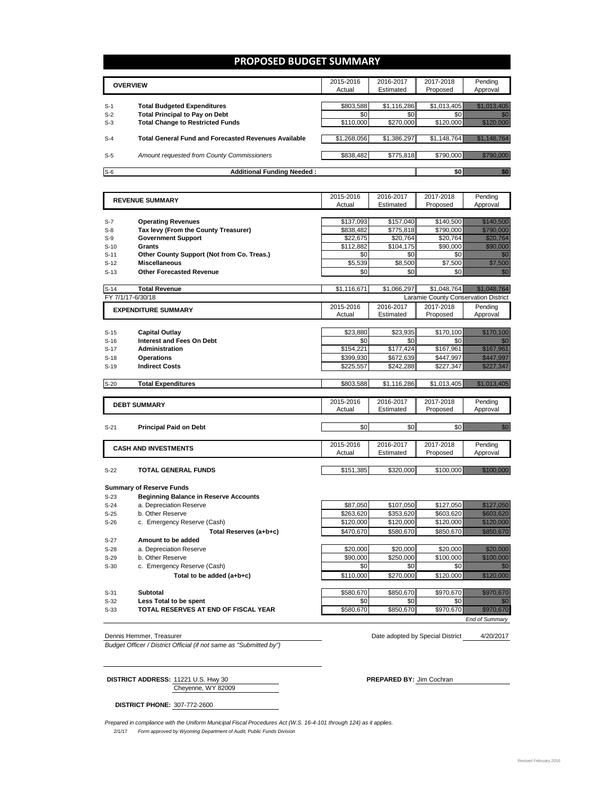### **PROPOSED BUDGET SUMMARY**

|                | <b>OVERVIEW</b>                                                                                        | 2015-2016<br>Actual      | 2016-2017<br>Estimated   | 2017-2018<br>Proposed    | Pending<br>Approval |
|----------------|--------------------------------------------------------------------------------------------------------|--------------------------|--------------------------|--------------------------|---------------------|
| $S-1$<br>$S-2$ | <b>Total Budgeted Expenditures</b><br><b>Total Principal to Pay on Debt</b>                            | \$803,588<br>\$0         | \$1,116,286<br>\$0       | \$1,013,405              |                     |
| $S-3$<br>$S-4$ | <b>Total Change to Restricted Funds</b><br><b>Total General Fund and Forecasted Revenues Available</b> | \$110,000<br>\$1,268,056 | \$270,000<br>\$1,386,297 | \$120,000<br>\$1,148,764 |                     |
| $S-5$          | Amount requested from County Commissioners                                                             | \$838,482                | \$775,818                |                          | \$790,000           |
| $S-6$          | <b>Additional Funding Needed:</b>                                                                      |                          |                          |                          |                     |

| <b>REVENUE SUMMARY</b> |                                              | 2015-2016   | 2016-2017   | 2017-2018                            | Pending                                                                                                                  |
|------------------------|----------------------------------------------|-------------|-------------|--------------------------------------|--------------------------------------------------------------------------------------------------------------------------|
|                        |                                              | Actual      | Estimated   | Proposed                             | Approval                                                                                                                 |
|                        |                                              |             |             |                                      |                                                                                                                          |
| $S-7$                  | <b>Operating Revenues</b>                    | \$137,093   | \$157,040   | \$140,500                            | <u>Marajev</u>                                                                                                           |
| $S-8$                  | Tax levy (From the County Treasurer)         | \$838,482   | \$775.818   | \$790.000                            | <u>tilistikk</u>                                                                                                         |
| $S-9$                  | <b>Government Support</b>                    | \$22.675    | \$20.764    | \$20.764                             | a katika katika katika katika alikuwa alikuwa alikuwa alikuwa alikuwa alikuwa alikuwa alikuwa alikuwa alikuwa<br>Marejeo |
| $S-10$                 | Grants                                       | \$112.882   | \$104,175   | \$90,000                             | a a shekarar 200                                                                                                         |
| $S-11$                 | Other County Support (Not from Co. Treas.)   | \$0         | \$0         | \$0                                  |                                                                                                                          |
| $S-12$                 | <b>Miscellaneous</b>                         | \$5.539     | \$8.500     | \$7.500                              | <u>till helds</u>                                                                                                        |
| $S-13$                 | <b>Other Forecasted Revenue</b>              | \$0         | \$0         | \$0                                  | <u>Mille Sta</u>                                                                                                         |
|                        |                                              |             |             |                                      |                                                                                                                          |
| $S-14$                 | <b>Total Revenue</b>                         | \$1,116,671 | \$1.066.297 | \$1,048,764                          | <u>Millige Charles Charles Charles</u>                                                                                   |
|                        | FY 7/1/17-6/30/18                            |             |             | Laramie County Conservation District |                                                                                                                          |
|                        | <b>EXPENDITURE SUMMARY</b>                   | 2015-2016   | 2016-2017   | 2017-2018                            | Pending                                                                                                                  |
|                        |                                              | Actual      | Estimated   | Proposed                             | Approval                                                                                                                 |
|                        |                                              |             |             |                                      |                                                                                                                          |
| $S-15$                 | <b>Capital Outlay</b>                        | \$23,880    | \$23,935    | \$170,100                            | <u> Hill Mari</u>                                                                                                        |
| $S-16$                 | Interest and Fees On Debt                    | \$0         | \$0         | \$0                                  |                                                                                                                          |
| $S-17$                 | Administration                               | \$154,221   | \$177,424   | \$167,961                            | <u>ti ka ka kasa</u>                                                                                                     |
| $S-18$                 | <b>Operations</b>                            | \$399,930   | \$672,639   | \$447,997                            | <u> Hillinger o</u>                                                                                                      |
| $S-19$                 | <b>Indirect Costs</b>                        | \$225,557   | \$242,288   | \$227,347                            | <u>fille fra h</u>                                                                                                       |
|                        |                                              |             |             |                                      |                                                                                                                          |
| $S-20$                 | <b>Total Expenditures</b>                    | \$803,588   | \$1,116,286 | \$1,013,405                          | <u> Hillian San Baratas San Baratas San Baratas San Baratas San Baratas San Baratas San Baratas San Baratas San B</u>    |
|                        |                                              |             |             |                                      |                                                                                                                          |
|                        | <b>DEBT SUMMARY</b>                          | 2015-2016   | 2016-2017   | 2017-2018                            | Pending                                                                                                                  |
|                        |                                              | Actual      | Estimated   | Proposed                             | Approval                                                                                                                 |
|                        |                                              |             |             |                                      |                                                                                                                          |
| $S-21$                 | <b>Principal Paid on Debt</b>                | \$0         | \$0         |                                      |                                                                                                                          |
|                        |                                              |             |             |                                      |                                                                                                                          |
|                        | <b>CASH AND INVESTMENTS</b>                  | 2015-2016   | 2016-2017   | 2017-2018                            | Pending                                                                                                                  |
|                        |                                              | Actual      | Estimated   | Proposed                             | Approval                                                                                                                 |
|                        |                                              |             |             |                                      |                                                                                                                          |
| $S-22$                 | TOTAL GENERAL FUNDS                          | \$151,385   | \$320,000   | \$100,000                            |                                                                                                                          |
|                        |                                              |             |             |                                      |                                                                                                                          |
|                        | <b>Summary of Reserve Funds</b>              |             |             |                                      |                                                                                                                          |
| $S-23$                 | <b>Beginning Balance in Reserve Accounts</b> |             |             |                                      |                                                                                                                          |
| S-24                   | a. Depreciation Reserve                      | \$87.050    | \$107.050   | \$127,050                            | <u> Hillinger (</u>                                                                                                      |

- 
- S-25 b. Other Reserve (Cash) <br>S-26 c. Emergency Reserve (Cash) <br>S120,000 \$120,000 \$120,000 \$120,000 \$120,000 S-26 c. Emergency Reserve (Cash) \$120,000 \$120,000 \$120,000 \$120,000 \$120,000 \$120,000 \$120,000 \$120,000 \$120,000 \$120,000 \$120,000 \$120,000 \$120,000 \$120,000 \$120,000 \$120,000 \$120,000 \$120,000 \$120,000 \$120,000 \$120,000

Total Reserves (a+b+c) **\$470,670** \$580,670 \$580,670

- S-27 **Amount to be added**<br>S-28 **a.** Depreciation Reserve
- a. Depreciation Reserve **12. Consumer 12. Consumer 12. A. Depreciation Reserve 12. A. S. A. S. A. S. A. S. A. S. A. S. A. S. A. S. A. S. A. S. A. S. A. S. A. S. A. S. A. S. A. S. A. S. A. S. A. S. A. S. A. S. A. S. A. S. A**
- S-29 b. Other Reserve **b. Other Reserve and Contact Automobile State Automobile State Automobile State Automobile State Automobile State State State State State State Automobile State State State State State State State St**
- S-30 c. Emergency Reserve (Cash) \$0 \$0 \$0 \$0 **Total to be added (a+b+c)** \$110,000 \$270,000 \$120,000 \$120,000 \$120,000 \$120,000 \$120,000 \$120,000 \$120,000 \$120,000 \$120,000 \$120,000 \$120,000 \$120,000 \$120,000 \$120,000 \$120,000 \$120,000 \$120,000 \$120,000 \$120,000 \$120,
- S-31 **Subtotal** \$850,670 \$850,670 \$970,670
- S-32 **Less Total to be spent** \$0 \$0 \$0 \$0
- **S-33 TOTAL RESERVES AT END OF FISCAL YEAR** \$580,670 \$850,670 \$970,670 \$970,670 \$970,670 \$970,670 \$970,670 \$970,670 \$970,670 \$970,670 \$970,670 \$970,670 \$970,670 \$970,670 \$970,670 \$970,670 \$970,670 \$970,670 \$970,670 \$970,

4/20/2017 Dennis Hemmer, Treasurer **Date adopted by Special District** Date adopted by Special District

*End of Summary*

*Budget Officer / District Official (if not same as "Submitted by")*

Cheyenne, WY 82009 **DISTRICT ADDRESS:** 11221 U.S. Hwy 30 **PREPARED BY:** Jim Cochran

**DISTRICT PHONE:** 307-772-2600

*Prepared in compliance with the Uniform Municipal Fiscal Procedures Act (W.S. 16-4-101 through 124) as it applies.*

2/1/17 *Form approved by Wyoming Department of Audit, Public Funds Division*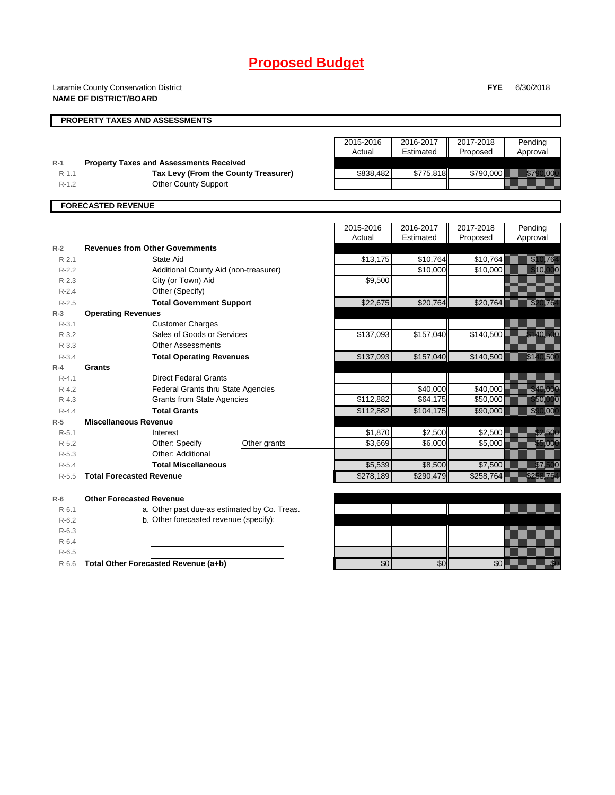# **Proposed Budget**

Laramie County Conservation District

**NAME OF DISTRICT/BOARD**

**FYE** 6/30/2018

|           | PROPERTY TAXES AND ASSESSMENTS                 |           |           |           |                        |
|-----------|------------------------------------------------|-----------|-----------|-----------|------------------------|
|           |                                                | 2015-2016 | 2016-2017 | 2017-2018 | Pending                |
|           |                                                | Actual    | Estimated | Proposed  | Approval               |
| $R-1$     | <b>Property Taxes and Assessments Received</b> |           |           |           |                        |
| $R-1.1$   | Tax Levy (From the County Treasurer)           | \$838,482 | \$775,818 | \$790,000 | <u> Elizabeth Carl</u> |
| $R-1.2$   | <b>Other County Support</b>                    |           |           |           |                        |
|           | <b>FORECASTED REVENUE</b>                      |           |           |           |                        |
|           |                                                |           |           |           |                        |
|           |                                                | 2015-2016 | 2016-2017 | 2017-2018 | Pending                |
|           |                                                | Actual    | Estimated | Proposed  | Approval               |
| $R-2$     | <b>Revenues from Other Governments</b>         |           |           |           |                        |
| $R - 2.1$ | State Aid                                      | \$13,175  | \$10,764  | \$10,764  | <u> Mariji (</u>       |
| $R-2.2$   | Additional County Aid (non-treasurer)          |           | \$10,000  | \$10,000  | <u> Kalendari Se</u>   |
| $R - 2.3$ | City (or Town) Aid                             | \$9,500   |           |           |                        |
| $R - 2.4$ | Other (Specify)                                |           |           |           |                        |
|           |                                                | $\cdots$  | $\cdots$  | $- - - -$ | u <i>uummumn</i>       |

| $R-2.3$   | City (or Town) Aid                           | \$9,500   |           |           |                                                                                                                                                                                                                                |
|-----------|----------------------------------------------|-----------|-----------|-----------|--------------------------------------------------------------------------------------------------------------------------------------------------------------------------------------------------------------------------------|
| $R - 2.4$ | Other (Specify)                              |           |           |           |                                                                                                                                                                                                                                |
| $R - 2.5$ | <b>Total Government Support</b>              | \$22,675  | \$20,764  | \$20,764  | <u> Karlingan Sa</u>                                                                                                                                                                                                           |
| $R-3$     | <b>Operating Revenues</b>                    |           |           |           |                                                                                                                                                                                                                                |
| $R - 3.1$ | <b>Customer Charges</b>                      |           |           |           |                                                                                                                                                                                                                                |
| $R - 3.2$ | Sales of Goods or Services                   | \$137,093 | \$157,040 | \$140,500 | <u> Maria Maria I</u>                                                                                                                                                                                                          |
| $R - 3.3$ | <b>Other Assessments</b>                     |           |           |           |                                                                                                                                                                                                                                |
| $R - 3.4$ | <b>Total Operating Revenues</b>              | \$137,093 | \$157,040 | \$140,500 | <u> Maria Maria I</u>                                                                                                                                                                                                          |
| $R - 4$   | Grants                                       |           |           |           |                                                                                                                                                                                                                                |
| $R - 4.1$ | <b>Direct Federal Grants</b>                 |           |           |           |                                                                                                                                                                                                                                |
| $R - 4.2$ | <b>Federal Grants thru State Agencies</b>    |           | \$40,000  | \$40,000  | <u>e de la componenta</u>                                                                                                                                                                                                      |
| $R-4.3$   | <b>Grants from State Agencies</b>            | \$112,882 | \$64,175  | \$50,000  | <u> Maria Maria I</u>                                                                                                                                                                                                          |
| $R - 4.4$ | <b>Total Grants</b>                          | \$112,882 | \$104,175 | \$90,000  | <u> Karatika</u>                                                                                                                                                                                                               |
| $R-5$     | <b>Miscellaneous Revenue</b>                 |           |           |           |                                                                                                                                                                                                                                |
| $R - 5.1$ | Interest                                     | \$1,870   | \$2,500   | \$2,500   | <u> Maria Barat da Barat da Barat da Barat da Barat da Barat da Barat da Barat da Barat da Barat da Barat da Bar</u>                                                                                                           |
| $R-5.2$   | Other: Specify<br>Other grants               | \$3,669   | \$6,000   | \$5,000   | <u>tionalisti</u>                                                                                                                                                                                                              |
| $R - 5.3$ | Other: Additional                            |           |           |           |                                                                                                                                                                                                                                |
| $R-5.4$   | <b>Total Miscellaneous</b>                   | \$5,539   | \$8,500   | \$7,500   | a a an ainm                                                                                                                                                                                                                    |
| $R - 5.5$ | <b>Total Forecasted Revenue</b>              | \$278,189 | \$290,479 | \$258,764 | <u>elitevat ko</u>                                                                                                                                                                                                             |
| $R-6$     | <b>Other Forecasted Revenue</b>              |           |           |           |                                                                                                                                                                                                                                |
| $R-6.1$   | a. Other past due-as estimated by Co. Treas. |           |           |           |                                                                                                                                                                                                                                |
| $R-6.2$   | b. Other forecasted revenue (specify):       |           |           |           |                                                                                                                                                                                                                                |
| $R - 6.3$ |                                              |           |           |           |                                                                                                                                                                                                                                |
| $R-6.4$   |                                              |           |           |           |                                                                                                                                                                                                                                |
| $R-6.5$   |                                              |           |           |           |                                                                                                                                                                                                                                |
| $R-6.6$   | Total Other Forecasted Revenue (a+b)         | \$0       | \$0       | \$0       | en de la familie de la familie de la familie de la familie de la familie de la familie de la familie de la fa<br>Concelle de la familie de la familie de la familie de la familie de la familie de la familie de la familie de |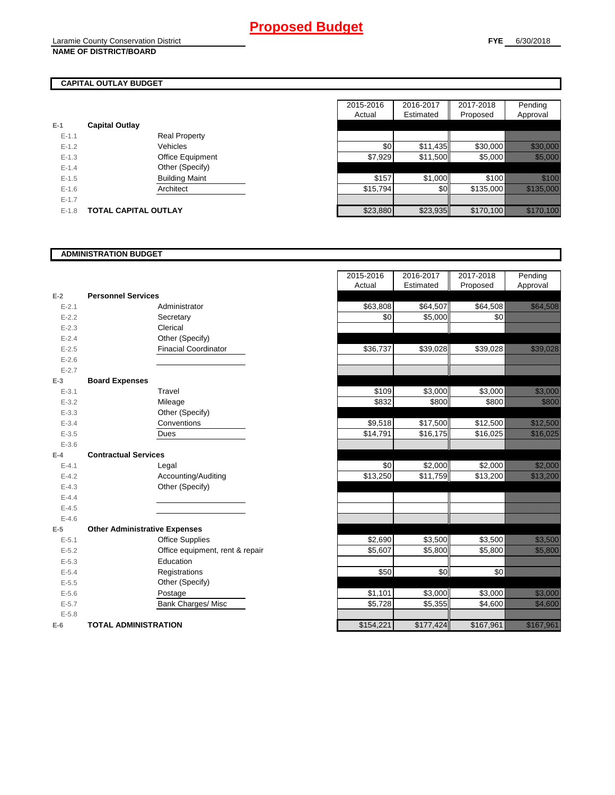# **CAPITAL OUTLAY BUDGET**

| E-1       | <b>Capital Outlay</b> |                         |
|-----------|-----------------------|-------------------------|
| $E - 1.1$ |                       | Real Property           |
| $E - 1.2$ |                       | Vehicles                |
| $E - 1.3$ |                       | <b>Office Equipment</b> |
| $F-14$    |                       | Other (Specify)         |
| $E - 1.5$ |                       | <b>Building Maint</b>   |
| $E - 1.6$ |                       | Architect               |
| $E - 1.7$ |                       |                         |
| $E-1.8$   | TOTAL CAPITAL OUTLAY  |                         |

|           |                             |                       | 2015-2016 | 2016-2017        | 2017-2018 | Pending                  |
|-----------|-----------------------------|-----------------------|-----------|------------------|-----------|--------------------------|
|           |                             |                       | Actual    | Estimated        | Proposed  | Approval                 |
|           | <b>Capital Outlay</b>       |                       |           |                  |           |                          |
| $E - 1.1$ |                             | <b>Real Property</b>  |           |                  |           |                          |
| $E - 1.2$ |                             | Vehicles              | \$0       | \$11,435         | \$30,000  | <u> Elizabeth C</u>      |
| $E-1.3$   |                             | Office Equipment      | \$7,929   | \$11,500         | \$5,000   | <u> Karl Sara</u>        |
| $E - 1.4$ |                             | Other (Specify)       |           |                  |           |                          |
| $E-1.5$   |                             | <b>Building Maint</b> | \$157     | \$1,000          | \$100     | <u>till fra</u>          |
| $E - 1.6$ |                             | Architect             | \$15,794  | \$0 <sub>1</sub> | \$135,000 | <u> Elitteratura est</u> |
| $E - 1.7$ |                             |                       |           |                  |           |                          |
| $E-1.8$   | <b>TOTAL CAPITAL OUTLAY</b> |                       | \$23,880  | \$23,935         | \$170,100 | <u> Elizabeth Co</u>     |

### **ADMINISTRATION BUDGET**

|           |                                      |                                 | nuuai     | Louniatou | <b>LIOPOSCU</b> |
|-----------|--------------------------------------|---------------------------------|-----------|-----------|-----------------|
| $E-2$     | <b>Personnel Services</b>            |                                 |           |           |                 |
| $E - 2.1$ |                                      | Administrator                   | \$63,808  | \$64,507  | \$64,508        |
| $E-2.2$   |                                      | Secretary                       | \$0       | \$5,000   | \$0             |
| $E - 2.3$ |                                      | Clerical                        |           |           |                 |
| $E - 2.4$ |                                      | Other (Specify)                 |           |           |                 |
| $E-2.5$   |                                      | <b>Finacial Coordinator</b>     | \$36,737  | \$39,028  | \$39,028        |
| $E - 2.6$ |                                      |                                 |           |           |                 |
| $E - 2.7$ |                                      |                                 |           |           |                 |
| $E-3$     | <b>Board Expenses</b>                |                                 |           |           |                 |
| $E - 3.1$ |                                      | Travel                          | \$109     | \$3,000   | \$3,000         |
| $E - 3.2$ |                                      | Mileage                         | \$832     | \$800     | \$800           |
| $E - 3.3$ |                                      | Other (Specify)                 |           |           |                 |
| $E - 3.4$ |                                      | Conventions                     | \$9,518   | \$17,500  | \$12,500        |
| $E - 3.5$ |                                      | Dues                            | \$14,791  | \$16, 175 | \$16,025        |
| $E - 3.6$ |                                      |                                 |           |           |                 |
| $E-4$     | <b>Contractual Services</b>          |                                 |           |           |                 |
| $E - 4.1$ |                                      | Legal                           | \$0       | \$2,000   | \$2,000         |
| $E - 4.2$ |                                      | Accounting/Auditing             | \$13,250  | \$11,759  | \$13,200        |
| $E - 4.3$ |                                      | Other (Specify)                 |           |           |                 |
| $E - 4.4$ |                                      |                                 |           |           |                 |
| $E - 4.5$ |                                      |                                 |           |           |                 |
| $E-4.6$   |                                      |                                 |           |           |                 |
| $E-5$     | <b>Other Administrative Expenses</b> |                                 |           |           |                 |
| $E - 5.1$ |                                      | <b>Office Supplies</b>          | \$2,690   | \$3,500   | \$3,500         |
| $E-5.2$   |                                      | Office equipment, rent & repair | \$5,607   | \$5,800   | \$5,800         |
| $E-5.3$   |                                      | Education                       |           |           |                 |
| $E - 5.4$ |                                      | Registrations                   | \$50      | \$0       | \$0             |
| $E-5.5$   |                                      | Other (Specify)                 |           |           |                 |
| $E-5.6$   |                                      | Postage                         | \$1,101   | \$3,000   | \$3,000         |
| $E - 5.7$ |                                      | <b>Bank Charges/ Misc</b>       | \$5,728   | \$5,355   | \$4,600         |
| $E - 5.8$ |                                      |                                 |           |           |                 |
| $E-6$     | <b>TOTAL ADMINISTRATION</b>          |                                 | \$154,221 | \$177,424 | \$167,961       |

|                          |                                      | 2015-2016<br>Actual | 2016-2017<br>Estimated | 2017-2018<br>Proposed | Pending<br>Approval                                                                                                   |
|--------------------------|--------------------------------------|---------------------|------------------------|-----------------------|-----------------------------------------------------------------------------------------------------------------------|
| Ž                        | <b>Personnel Services</b>            |                     |                        |                       |                                                                                                                       |
| $E - 2.1$                | Administrator                        | \$63,808            | \$64,507               | \$64,508              | <u> Karl Sara</u>                                                                                                     |
| $E - 2.2$                | Secretary                            | \$0                 | \$5,000                | \$0                   |                                                                                                                       |
| $E - 2.3$                | Clerical                             |                     |                        |                       |                                                                                                                       |
| $E - 2.4$                | Other (Specify)                      |                     |                        |                       |                                                                                                                       |
| $E-2.5$                  | <b>Finacial Coordinator</b>          | \$36,737            | \$39,028               | \$39,028              | <u>tik alaman k</u>                                                                                                   |
| $E - 2.6$                |                                      |                     |                        |                       |                                                                                                                       |
| $E - 2.7$                |                                      |                     |                        |                       |                                                                                                                       |
| $\overline{\phantom{0}}$ | <b>Board Expenses</b>                |                     |                        |                       |                                                                                                                       |
| $E - 3.1$                | Travel                               | \$109               | \$3,000                | \$3,000               | <u>tionalisti</u>                                                                                                     |
| $E - 3.2$                | Mileage                              | \$832               | \$800                  | \$800                 | <u>ti k</u>                                                                                                           |
| $E - 3.3$                | Other (Specify)                      |                     |                        |                       |                                                                                                                       |
| $E - 3.4$                | Conventions                          | \$9,518             | \$17,500               | \$12,500              | <u>tik alaman </u>                                                                                                    |
| $E - 3.5$                | Dues                                 | \$14,791            | \$16,175               | \$16,025              | <u>tik kara</u>                                                                                                       |
| $E - 3.6$                |                                      |                     |                        |                       |                                                                                                                       |
| ı.                       | <b>Contractual Services</b>          |                     |                        |                       |                                                                                                                       |
| $E - 4.1$                | Legal                                | \$0                 | \$2,000                | \$2,000               | <u> Hillingar og</u>                                                                                                  |
| $E - 4.2$                | Accounting/Auditing                  | \$13,250            | \$11,759               | \$13,200              | <u> Mariji (Mariji) (</u>                                                                                             |
| $E - 4.3$                | Other (Specify)                      |                     |                        |                       |                                                                                                                       |
| $E - 4.4$                |                                      |                     |                        |                       |                                                                                                                       |
| $E - 4.5$                |                                      |                     |                        |                       |                                                                                                                       |
| $E - 4.6$                |                                      |                     |                        |                       |                                                                                                                       |
| $\overline{\phantom{a}}$ | <b>Other Administrative Expenses</b> |                     |                        |                       |                                                                                                                       |
| $E - 5.1$                | <b>Office Supplies</b>               | \$2,690             | \$3,500                | \$3,500               | <u>ting and the second second in the second second in the second second in the second second in the second second</u> |
| $E - 5.2$                | Office equipment, rent & repair      | \$5,607             | \$5,800                | \$5,800               | <u>tion and</u>                                                                                                       |
| $E - 5.3$                | Education                            |                     |                        |                       |                                                                                                                       |
| $E - 5.4$                | Registrations                        | \$50                | \$0                    | \$0                   |                                                                                                                       |
| $E - 5.5$                | Other (Specify)                      |                     |                        |                       |                                                                                                                       |
| $E - 5.6$                | Postage                              | \$1,101             | \$3,000                | \$3,000               | <u>ti ka ma</u>                                                                                                       |
| $E - 5.7$                | <b>Bank Charges/ Misc</b>            | \$5,728             | \$5,355                | \$4,600               | <u>ti ka</u>                                                                                                          |
| $E - 5.8$                |                                      |                     |                        |                       |                                                                                                                       |
| ì                        | <b>TOTAL ADMINISTRATION</b>          | \$154,221           | \$177,424              | \$167,961             | <u> Kalendari Ka</u>                                                                                                  |
|                          |                                      |                     |                        |                       |                                                                                                                       |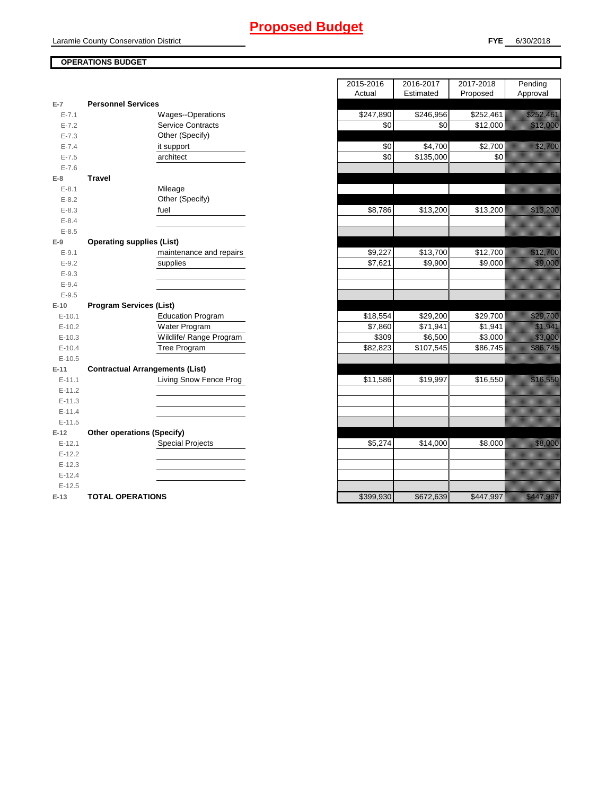# **Proposed Budget**

## **OPERATIONS BUDGET**

|           |                                        | nuuai     | Lournated             | r rupusuu           | nppioval                                                                                                                                                                                                                         |
|-----------|----------------------------------------|-----------|-----------------------|---------------------|----------------------------------------------------------------------------------------------------------------------------------------------------------------------------------------------------------------------------------|
| $E-7$     | <b>Personnel Services</b>              |           |                       |                     |                                                                                                                                                                                                                                  |
| $E - 7.1$ | Wages--Operations                      | \$247,890 | \$246,956             | \$252,461           | <u>e de la provincia de la provincia de la provincia de la provincia de la provincia de la provincia de la provi</u>                                                                                                             |
| $E - 7.2$ | <b>Service Contracts</b>               | \$0       | \$0                   | \$12,000            | <u> Karl Barat dan Ba</u>                                                                                                                                                                                                        |
| $E - 7.3$ | Other (Specify)                        |           |                       |                     |                                                                                                                                                                                                                                  |
| $E - 7.4$ | it support                             | \$0       | \$4,700               | $\overline{$}2,700$ | <u>ti ka</u>                                                                                                                                                                                                                     |
| $E - 7.5$ | architect                              | \$0       | $\overline{$135,000}$ | \$0                 |                                                                                                                                                                                                                                  |
| $E - 7.6$ |                                        |           |                       |                     |                                                                                                                                                                                                                                  |
| $E-8$     | <b>Travel</b>                          |           |                       |                     |                                                                                                                                                                                                                                  |
| $E - 8.1$ | Mileage                                |           |                       |                     |                                                                                                                                                                                                                                  |
| $E - 8.2$ | Other (Specify)                        |           |                       |                     |                                                                                                                                                                                                                                  |
| $E - 8.3$ | fuel                                   | \$8,786   | \$13,200              | \$13,200            | <u> Kalendari Ka</u>                                                                                                                                                                                                             |
| $E - 8.4$ |                                        |           |                       |                     |                                                                                                                                                                                                                                  |
| $E - 8.5$ |                                        |           |                       |                     |                                                                                                                                                                                                                                  |
| $E-9$     | <b>Operating supplies (List)</b>       |           |                       |                     |                                                                                                                                                                                                                                  |
| $E-9.1$   | maintenance and repairs                | \$9,227   | \$13,700              | \$12,700            |                                                                                                                                                                                                                                  |
| $E-9.2$   | supplies                               | \$7,621   | \$9,900               | \$9,000             | <u>tin allan</u>                                                                                                                                                                                                                 |
| $E-9.3$   |                                        |           |                       |                     |                                                                                                                                                                                                                                  |
| $E - 9.4$ |                                        |           |                       |                     |                                                                                                                                                                                                                                  |
| $E-9.5$   |                                        |           |                       |                     |                                                                                                                                                                                                                                  |
| $E-10$    | <b>Program Services (List)</b>         |           |                       |                     |                                                                                                                                                                                                                                  |
| $E-10.1$  | <b>Education Program</b>               | \$18,554  | \$29,200              | \$29,700            | <u>i karatikana ya kusingan ya kasasa na kasasa na kasasa na kasasa na kasasa na kasasa na kasasa na kasasa na k</u>                                                                                                             |
| $E-10.2$  | Water Program                          | \$7,860   | \$71,941              | \$1,941             | <u> Karlin Saraja</u>                                                                                                                                                                                                            |
| $E-10.3$  | Wildlife/ Range Program                | \$309     | \$6,500               | \$3,000             | <u> Karlingan Sa</u>                                                                                                                                                                                                             |
| $E-10.4$  | Tree Program                           | \$82,823  | \$107,545             | \$86,745            | <u>istoriano e di conte</u>                                                                                                                                                                                                      |
| $E-10.5$  |                                        |           |                       |                     |                                                                                                                                                                                                                                  |
| $E-11$    | <b>Contractual Arrangements (List)</b> |           |                       |                     |                                                                                                                                                                                                                                  |
| $E-11.1$  | Living Snow Fence Prog                 | \$11,586  | \$19,997              | \$16,550            | <u> Karl Lindon (</u>                                                                                                                                                                                                            |
| $E-11.2$  |                                        |           |                       |                     |                                                                                                                                                                                                                                  |
| $E-11.3$  |                                        |           |                       |                     |                                                                                                                                                                                                                                  |
| $E-11.4$  |                                        |           |                       |                     |                                                                                                                                                                                                                                  |
| $E-11.5$  |                                        |           |                       |                     |                                                                                                                                                                                                                                  |
| $E-12$    | <b>Other operations (Specify)</b>      |           |                       |                     |                                                                                                                                                                                                                                  |
| $E-12.1$  | <b>Special Projects</b>                | \$5,274   | \$14,000              | \$8,000             | <u>i ka</u>                                                                                                                                                                                                                      |
| $E-12.2$  |                                        |           |                       |                     |                                                                                                                                                                                                                                  |
| $E-12.3$  |                                        |           |                       |                     |                                                                                                                                                                                                                                  |
| $E-12.4$  |                                        |           |                       |                     |                                                                                                                                                                                                                                  |
| $E-12.5$  |                                        |           |                       |                     |                                                                                                                                                                                                                                  |
| $E-13$    | <b>TOTAL OPERATIONS</b>                | \$399,930 | \$672,639             | \$447,997           | a shi asaliya asalan waxaa iyo dhaqaala iyo dagaala ah iyo dagaala ah iyo dagaala ah iyo dagaala iyo dagaala i<br>Marka ah iyo dagaala iyo dagaala iyo dagaala iyo dagaala iyo dagaala iyo dagaala iyo dagaala iyo dagaala iyo d |

|                        |                                        | 2015-2016 | 2016-2017 | 2017-2018  | Pending                                                                                                                                                                                                                         |
|------------------------|----------------------------------------|-----------|-----------|------------|---------------------------------------------------------------------------------------------------------------------------------------------------------------------------------------------------------------------------------|
|                        |                                        | Actual    | Estimated | Proposed   | Approval                                                                                                                                                                                                                        |
| $\overline{7}$         | <b>Personnel Services</b>              |           |           |            |                                                                                                                                                                                                                                 |
| $E - 7.1$              | Wages--Operations                      | \$247,890 | \$246,956 | \$252,461  | <u>Tarihin Saraja</u>                                                                                                                                                                                                           |
| $E - 7.2$              | <b>Service Contracts</b>               | \$0       | \$0       | \$12,000   | <u> Kalendari Serika</u>                                                                                                                                                                                                        |
| $E - 7.3$              | Other (Specify)                        |           |           |            |                                                                                                                                                                                                                                 |
| $E - 7.4$              | it support                             | \$0       | \$4,700   | \$2,700    | e de la provincia de la provincia de la provincia de la provincia de la provincia de la provincia de la provi<br>En la provincia de la provincia de la provincia de la provincia de la provincia de la provincia de la provinci |
| $E - 7.5$              | architect                              | \$0       | \$135,000 | \$0        |                                                                                                                                                                                                                                 |
| $E - 7.6$              |                                        |           |           |            |                                                                                                                                                                                                                                 |
| 8                      | <b>Travel</b>                          |           |           |            |                                                                                                                                                                                                                                 |
| $E - 8.1$              | Mileage<br>Other (Specify)             |           |           |            |                                                                                                                                                                                                                                 |
| $E - 8.2$<br>$E - 8.3$ | fuel                                   | \$8,786   | \$13,200  | \$13,200   | <u> Hillian Sa</u>                                                                                                                                                                                                              |
| $E - 8.4$              |                                        |           |           |            |                                                                                                                                                                                                                                 |
| $E - 8.5$              |                                        |           |           |            |                                                                                                                                                                                                                                 |
| 9                      | <b>Operating supplies (List)</b>       |           |           |            |                                                                                                                                                                                                                                 |
| $E-9.1$                | maintenance and repairs                | \$9,227   | \$13,700  | \$12,700   | a katalunggal sa katalunggal sa katalunggal sa katalunggal sa katalunggal sa katalunggal sa katalunggal sa kat                                                                                                                  |
| $E - 9.2$              | supplies                               | \$7,621   | \$9,900   | \$9,000    | <u>ti ka</u>                                                                                                                                                                                                                    |
| $E-9.3$                |                                        |           |           |            |                                                                                                                                                                                                                                 |
| $E - 9.4$              |                                        |           |           |            |                                                                                                                                                                                                                                 |
| $E - 9.5$              |                                        |           |           |            |                                                                                                                                                                                                                                 |
| 10                     | <b>Program Services (List)</b>         |           |           |            |                                                                                                                                                                                                                                 |
| $E-10.1$               | <b>Education Program</b>               | \$18,554  | \$29,200  | \$29,700   | <u> Karlinard</u>                                                                                                                                                                                                               |
| $E-10.2$               | Water Program                          | \$7,860   | \$71,941  | \$1,941    | <u> Karlin Sara</u>                                                                                                                                                                                                             |
| $E-10.3$               | Wildlife/ Range Program                | \$309     | \$6,500   | \$3,000    | <u> Karlin Sara</u>                                                                                                                                                                                                             |
| $E - 10.4$             | <b>Tree Program</b>                    | \$82,823  | \$107,545 | \$86,745   | <u>ika ku</u>                                                                                                                                                                                                                   |
| $E-10.5$               |                                        |           |           |            |                                                                                                                                                                                                                                 |
| $-11$                  | <b>Contractual Arrangements (List)</b> |           |           |            |                                                                                                                                                                                                                                 |
| $E-11.1$               | Living Snow Fence Prog                 | \$11,586  | \$19,997  | \$16,550   | <u> Karl Lindon (</u>                                                                                                                                                                                                           |
| $E-11.2$               |                                        |           |           |            |                                                                                                                                                                                                                                 |
| $E-11.3$               |                                        |           |           |            |                                                                                                                                                                                                                                 |
| $E-11.4$               |                                        |           |           |            |                                                                                                                                                                                                                                 |
| $E-11.5$               |                                        |           |           |            |                                                                                                                                                                                                                                 |
| 12                     | <b>Other operations (Specify)</b>      |           |           |            |                                                                                                                                                                                                                                 |
| $E-12.1$               | <b>Special Projects</b>                | \$5,274   | \$14,000  | \$8,000    | <u>tin allan</u>                                                                                                                                                                                                                |
| $E-12.2$               |                                        |           |           |            |                                                                                                                                                                                                                                 |
| $E-12.3$               |                                        |           |           |            |                                                                                                                                                                                                                                 |
| $E-12.4$               |                                        |           |           |            |                                                                                                                                                                                                                                 |
| $E-12.5$               |                                        |           |           |            | <u>Mara aliy</u>                                                                                                                                                                                                                |
| $12 -$                 | TOTAL OPERATIONS                       | C300 030  | \$672.639 | $$AA7$ QQ7 |                                                                                                                                                                                                                                 |

ī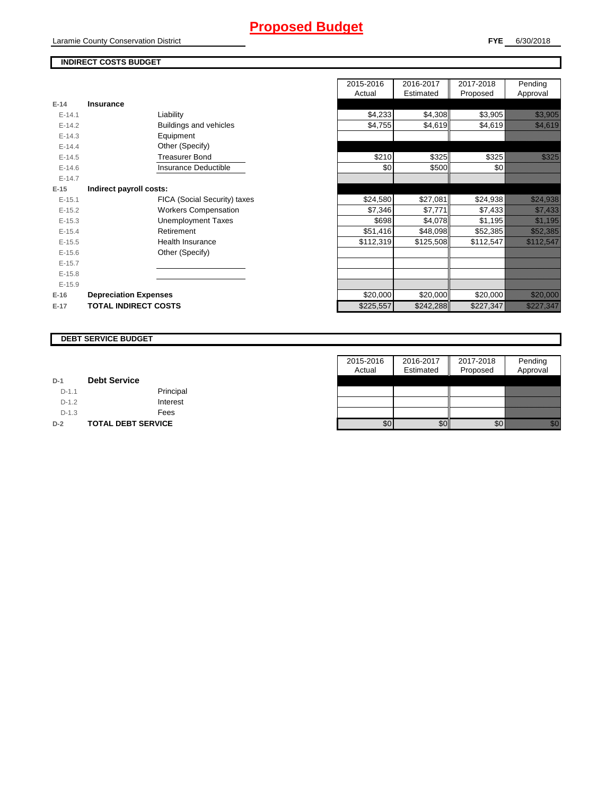# **Proposed Budget**

Laramie County Conservation District

### **FYE** 6/30/2018

## **INDIRECT COSTS BUDGET**

|          |                              | Auudi     | Estifiateu | <b>FIUPUSEU</b> |
|----------|------------------------------|-----------|------------|-----------------|
| $E-14$   | <b>Insurance</b>             |           |            |                 |
| $E-14.1$ | Liability                    | \$4,233   | \$4,308    | \$3,905         |
| $E-14.2$ | Buildings and vehicles       | \$4,755   | \$4,619    | \$4,619         |
| $E-14.3$ | Equipment                    |           |            |                 |
| $E-14.4$ | Other (Specify)              |           |            |                 |
| $E-14.5$ | <b>Treasurer Bond</b>        | \$210     | \$325      | \$325           |
| $E-14.6$ | Insurance Deductible         | \$0       | \$500      | \$0             |
| $E-14.7$ |                              |           |            |                 |
| $E-15$   | Indirect payroll costs:      |           |            |                 |
| $E-15.1$ | FICA (Social Security) taxes | \$24,580  | \$27,081   | \$24,938        |
| $E-15.2$ | <b>Workers Compensation</b>  | \$7,346   | \$7,771    | \$7,433         |
| $E-15.3$ | Unemployment Taxes           | \$698     | \$4,078    | \$1,195         |
| $E-15.4$ | Retirement                   | \$51,416  | \$48,098   | \$52,385        |
| $E-15.5$ | Health Insurance             | \$112,319 | \$125,508  | \$112,547       |
| $E-15.6$ | Other (Specify)              |           |            |                 |
| $E-15.7$ |                              |           |            |                 |
| $E-15.8$ |                              |           |            |                 |
| $E-15.9$ |                              |           |            |                 |
| $E-16$   | <b>Depreciation Expenses</b> | \$20,000  | \$20,000   | \$20,000        |
| $E-17$   | <b>TOTAL INDIRECT COSTS</b>  | \$225,557 | \$242,288  | \$227,347       |
|          |                              |           |            |                 |

|          |                              |                              | 2015-2016 | 2016-2017 | 2017-2018 | Pending                                                                                                                                        |
|----------|------------------------------|------------------------------|-----------|-----------|-----------|------------------------------------------------------------------------------------------------------------------------------------------------|
|          |                              |                              | Actual    | Estimated | Proposed  | Approval                                                                                                                                       |
| $E-14$   | <b>Insurance</b>             |                              |           |           |           |                                                                                                                                                |
| $E-14.1$ |                              | Liability                    | \$4,233   | \$4,308   | \$3,905   | <u>ti karatanan di kacamatan di sebagai di kacamatan di kacamatan di kacamatan di kacamatan di kacamatan di kaca</u>                           |
| $E-14.2$ |                              | Buildings and vehicles       | \$4,755   | \$4,619   | \$4,619   | <u>tik ka</u>                                                                                                                                  |
| $E-14.3$ |                              | Equipment                    |           |           |           |                                                                                                                                                |
| $E-14.4$ |                              | Other (Specify)              |           |           |           |                                                                                                                                                |
| $E-14.5$ |                              | <b>Treasurer Bond</b>        | \$210     | \$325     | \$325     | <u>tik lik</u>                                                                                                                                 |
| $E-14.6$ |                              | Insurance Deductible         | \$0       | \$500     | \$0       |                                                                                                                                                |
| $E-14.7$ |                              |                              |           |           |           |                                                                                                                                                |
| $E-15$   | Indirect payroll costs:      |                              |           |           |           |                                                                                                                                                |
| $E-15.1$ |                              | FICA (Social Security) taxes | \$24,580  | \$27,081  | \$24,938  | <u> Martin Sara</u>                                                                                                                            |
| $E-15.2$ |                              | <b>Workers Compensation</b>  | \$7,346   | \$7,771   | \$7,433   | <u>tik ka</u>                                                                                                                                  |
| $E-15.3$ |                              | <b>Unemployment Taxes</b>    | \$698     | \$4,078   | \$1,195   | <u>tika kuningan di kacamatan di sebagai di kacamatan di kacamatan di kacamatan di kacamatan di kacamatan di kaca</u>                          |
| $E-15.4$ |                              | Retirement                   | \$51,416  | \$48,098  | \$52,385  | <u> Kalifornia (h. 1989).</u><br>NGC 1982 NASA EXTERNAL EXTREMENTAL NASKA EXTREMENTAL NASKA EXTREMENTAL EZERPADOR NASKA EZERPANDIKAN EZERPADOR |
| $E-15.5$ |                              | <b>Health Insurance</b>      | \$112,319 | \$125,508 | \$112,547 | <u> Elitteratural et al.</u>                                                                                                                   |
| $E-15.6$ |                              | Other (Specify)              |           |           |           |                                                                                                                                                |
| $E-15.7$ |                              |                              |           |           |           |                                                                                                                                                |
| $E-15.8$ |                              |                              |           |           |           |                                                                                                                                                |
| $E-15.9$ |                              |                              |           |           |           |                                                                                                                                                |
| $E-16$   | <b>Depreciation Expenses</b> |                              | \$20,000  | \$20,000  | \$20,000  | <u> Elizabeth Charles Cha</u>                                                                                                                  |
| $E-17$   | <b>TOTAL INDIRECT COSTS</b>  |                              | \$225,557 | \$242,288 | \$227,347 | <u> Kalifornia (h. 1989).</u><br>Naskiĝoj                                                                                                      |
|          |                              |                              |           |           |           |                                                                                                                                                |

#### **DEBT SERVICE BUDGET**

|         |                           | 2015-2016 | 2016-2017 | 2017-2018 | Pending                                                                                                                                                                                                                          |
|---------|---------------------------|-----------|-----------|-----------|----------------------------------------------------------------------------------------------------------------------------------------------------------------------------------------------------------------------------------|
|         |                           | Actual    | Estimated | Proposed  | Approval                                                                                                                                                                                                                         |
| $D-1$   | <b>Debt Service</b>       |           |           |           |                                                                                                                                                                                                                                  |
| $D-1.1$ | Principal                 |           |           |           |                                                                                                                                                                                                                                  |
| $D-1.2$ | Interest                  |           |           |           |                                                                                                                                                                                                                                  |
| $D-1.3$ | Fees                      |           |           |           |                                                                                                                                                                                                                                  |
| $D-2$   | <b>TOTAL DEBT SERVICE</b> | \$0       | \$0       | \$0       | en de la familie de la familie de la familie de la familie de la familie de la familie de la familie de la fam<br>De la familie de la familie de la familie de la familie de la familie de la familie de la familie de la famili |